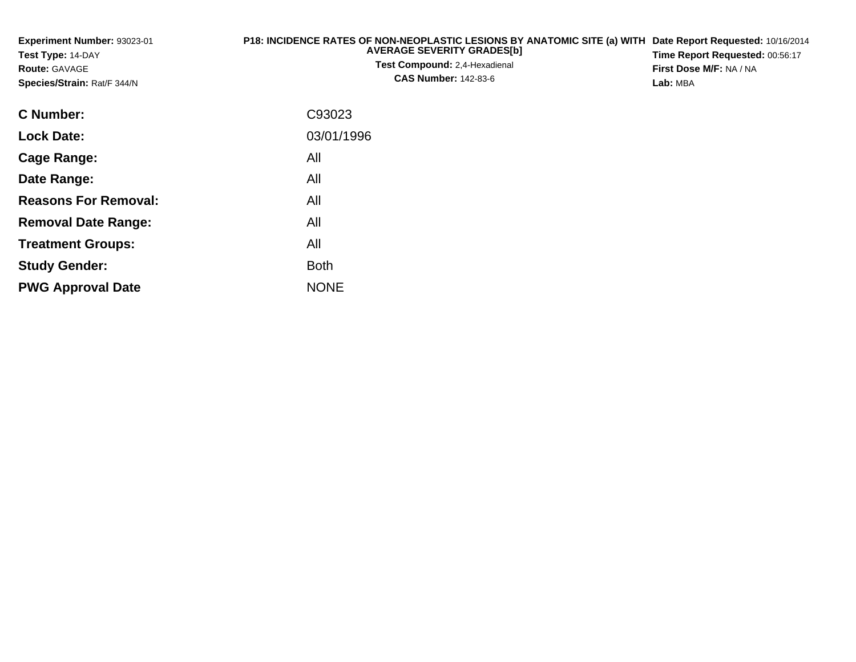| Experiment Number: 93023-01<br>Test Type: 14-DAY<br><b>Route: GAVAGE</b><br>Species/Strain: Rat/F 344/N | P18: INCIDENCE RATES OF NON-NEOPLASTIC LESIONS BY ANATOMIC SITE (a) WITH<br><b>AVERAGE SEVERITY GRADES[b]</b><br><b>Test Compound: 2,4-Hexadienal</b><br><b>CAS Number: 142-83-6</b> | Date Report Requested: 10/16/2014<br>Time Report Requested: 00:56:17<br>First Dose M/F: NA / NA<br>Lab: MBA |
|---------------------------------------------------------------------------------------------------------|--------------------------------------------------------------------------------------------------------------------------------------------------------------------------------------|-------------------------------------------------------------------------------------------------------------|
| C Number:                                                                                               | C93023                                                                                                                                                                               |                                                                                                             |
| <b>Lock Date:</b>                                                                                       | 03/01/1996                                                                                                                                                                           |                                                                                                             |
| <b>Cage Range:</b>                                                                                      | All                                                                                                                                                                                  |                                                                                                             |
| Date Range:                                                                                             | All                                                                                                                                                                                  |                                                                                                             |
| <b>Reasons For Removal:</b>                                                                             | All                                                                                                                                                                                  |                                                                                                             |
| <b>Removal Date Range:</b>                                                                              | All                                                                                                                                                                                  |                                                                                                             |
| <b>Treatment Groups:</b>                                                                                | All                                                                                                                                                                                  |                                                                                                             |
| <b>Study Gender:</b>                                                                                    | <b>Both</b>                                                                                                                                                                          |                                                                                                             |

e NONE

**PWG Approval Date**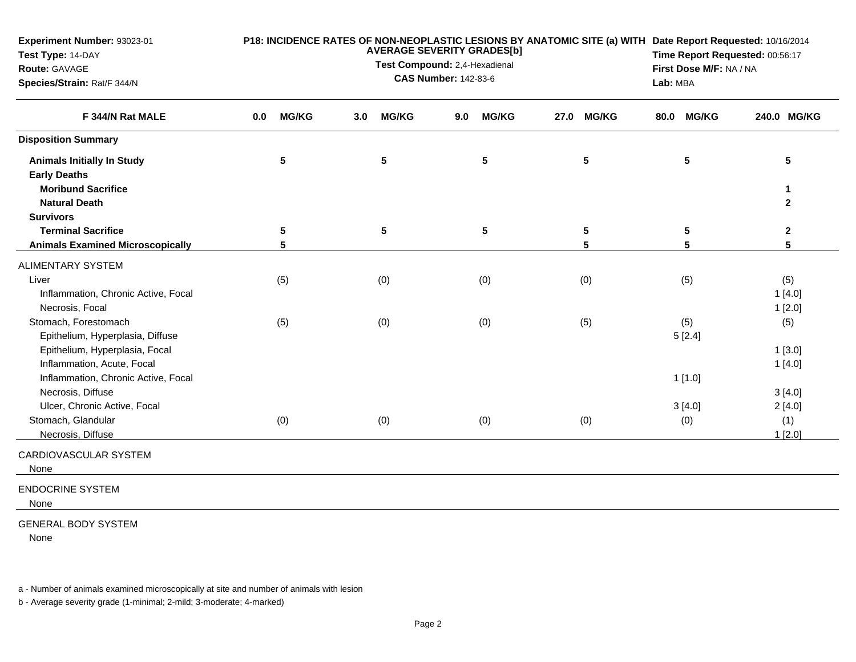| Experiment Number: 93023-01<br>Test Type: 14-DAY<br>Route: GAVAGE<br>Species/Strain: Rat/F 344/N    |     | P18: INCIDENCE RATES OF NON-NEOPLASTIC LESIONS BY ANATOMIC SITE (a) WITH Date Report Requested: 10/16/2014<br><b>AVERAGE SEVERITY GRADES[b]</b><br>Test Compound: 2,4-Hexadienal<br><b>CAS Number: 142-83-6</b> |     |                 |     |                 |      |              |  |               | Time Report Requested: 00:56:17<br>First Dose M/F: NA / NA<br>Lab: MBA |  |  |
|-----------------------------------------------------------------------------------------------------|-----|-----------------------------------------------------------------------------------------------------------------------------------------------------------------------------------------------------------------|-----|-----------------|-----|-----------------|------|--------------|--|---------------|------------------------------------------------------------------------|--|--|
| F 344/N Rat MALE                                                                                    | 0.0 | <b>MG/KG</b>                                                                                                                                                                                                    | 3.0 | <b>MG/KG</b>    | 9.0 | <b>MG/KG</b>    | 27.0 | <b>MG/KG</b> |  | 80.0 MG/KG    | 240.0 MG/KG                                                            |  |  |
| <b>Disposition Summary</b>                                                                          |     |                                                                                                                                                                                                                 |     |                 |     |                 |      |              |  |               |                                                                        |  |  |
| <b>Animals Initially In Study</b><br><b>Early Deaths</b>                                            |     | 5                                                                                                                                                                                                               |     | ${\bf 5}$       |     | ${\bf 5}$       |      | 5            |  | 5             | 5                                                                      |  |  |
| <b>Moribund Sacrifice</b><br><b>Natural Death</b>                                                   |     |                                                                                                                                                                                                                 |     |                 |     |                 |      |              |  |               | 1<br>$\mathbf{2}$                                                      |  |  |
| <b>Survivors</b>                                                                                    |     |                                                                                                                                                                                                                 |     |                 |     |                 |      |              |  |               |                                                                        |  |  |
| <b>Terminal Sacrifice</b>                                                                           |     | $5\phantom{.0}$                                                                                                                                                                                                 |     | $5\phantom{.0}$ |     | $5\phantom{.0}$ |      | 5            |  | 5             | $\mathbf 2$                                                            |  |  |
| <b>Animals Examined Microscopically</b>                                                             |     | 5                                                                                                                                                                                                               |     |                 |     |                 |      | 5            |  | 5             | 5                                                                      |  |  |
| <b>ALIMENTARY SYSTEM</b>                                                                            |     |                                                                                                                                                                                                                 |     |                 |     |                 |      |              |  |               |                                                                        |  |  |
| Liver<br>Inflammation, Chronic Active, Focal<br>Necrosis, Focal                                     |     | (5)                                                                                                                                                                                                             |     | (0)             |     | (0)             |      | (0)          |  | (5)           | (5)<br>1[4.0]<br>1[2.0]                                                |  |  |
| Stomach, Forestomach<br>Epithelium, Hyperplasia, Diffuse                                            |     | (5)                                                                                                                                                                                                             |     | (0)             |     | (0)             |      | (5)          |  | (5)<br>5[2.4] | (5)                                                                    |  |  |
| Epithelium, Hyperplasia, Focal<br>Inflammation, Acute, Focal<br>Inflammation, Chronic Active, Focal |     |                                                                                                                                                                                                                 |     |                 |     |                 |      |              |  | 1[1.0]        | 1[3.0]<br>1[4.0]                                                       |  |  |
| Necrosis, Diffuse<br>Ulcer, Chronic Active, Focal                                                   |     |                                                                                                                                                                                                                 |     |                 |     |                 |      |              |  | 3[4.0]        | 3[4.0]<br>2[4.0]                                                       |  |  |
| Stomach, Glandular<br>Necrosis, Diffuse                                                             |     | (0)                                                                                                                                                                                                             |     | (0)             |     | (0)             |      | (0)          |  | (0)           | (1)<br>1[2.0]                                                          |  |  |
| CARDIOVASCULAR SYSTEM<br>None                                                                       |     |                                                                                                                                                                                                                 |     |                 |     |                 |      |              |  |               |                                                                        |  |  |
| <b>ENDOCRINE SYSTEM</b><br>None                                                                     |     |                                                                                                                                                                                                                 |     |                 |     |                 |      |              |  |               |                                                                        |  |  |
| <b>GENERAL BODY SYSTEM</b><br>None                                                                  |     |                                                                                                                                                                                                                 |     |                 |     |                 |      |              |  |               |                                                                        |  |  |

a - Number of animals examined microscopically at site and number of animals with lesion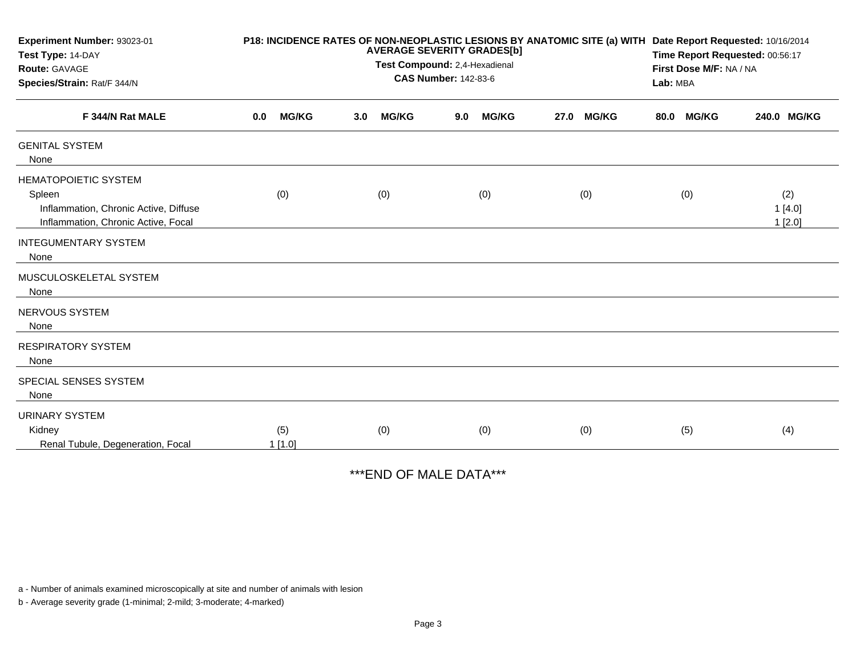| Experiment Number: 93023-01<br>Test Type: 14-DAY<br>Route: GAVAGE<br>Species/Strain: Rat/F 344/N                      | P18: INCIDENCE RATES OF NON-NEOPLASTIC LESIONS BY ANATOMIC SITE (a) WITH<br><b>AVERAGE SEVERITY GRADES[b]</b><br>Test Compound: 2,4-Hexadienal<br><b>CAS Number: 142-83-6</b> |               |     |              |     |              |      |              |      | Date Report Requested: 10/16/2014<br>Time Report Requested: 00:56:17<br>First Dose M/F: NA / NA<br>Lab: MBA |                         |  |
|-----------------------------------------------------------------------------------------------------------------------|-------------------------------------------------------------------------------------------------------------------------------------------------------------------------------|---------------|-----|--------------|-----|--------------|------|--------------|------|-------------------------------------------------------------------------------------------------------------|-------------------------|--|
| F 344/N Rat MALE                                                                                                      | 0.0                                                                                                                                                                           | <b>MG/KG</b>  | 3.0 | <b>MG/KG</b> | 9.0 | <b>MG/KG</b> | 27.0 | <b>MG/KG</b> | 80.0 | <b>MG/KG</b>                                                                                                | 240.0 MG/KG             |  |
| <b>GENITAL SYSTEM</b><br>None                                                                                         |                                                                                                                                                                               |               |     |              |     |              |      |              |      |                                                                                                             |                         |  |
| <b>HEMATOPOIETIC SYSTEM</b><br>Spleen<br>Inflammation, Chronic Active, Diffuse<br>Inflammation, Chronic Active, Focal |                                                                                                                                                                               | (0)           |     | (0)          |     | (0)          |      | (0)          |      | (0)                                                                                                         | (2)<br>1[4.0]<br>1[2.0] |  |
| <b>INTEGUMENTARY SYSTEM</b><br>None                                                                                   |                                                                                                                                                                               |               |     |              |     |              |      |              |      |                                                                                                             |                         |  |
| MUSCULOSKELETAL SYSTEM<br>None                                                                                        |                                                                                                                                                                               |               |     |              |     |              |      |              |      |                                                                                                             |                         |  |
| NERVOUS SYSTEM<br>None                                                                                                |                                                                                                                                                                               |               |     |              |     |              |      |              |      |                                                                                                             |                         |  |
| <b>RESPIRATORY SYSTEM</b><br>None                                                                                     |                                                                                                                                                                               |               |     |              |     |              |      |              |      |                                                                                                             |                         |  |
| SPECIAL SENSES SYSTEM<br>None                                                                                         |                                                                                                                                                                               |               |     |              |     |              |      |              |      |                                                                                                             |                         |  |
| <b>URINARY SYSTEM</b><br>Kidney<br>Renal Tubule, Degeneration, Focal                                                  |                                                                                                                                                                               | (5)<br>1[1.0] |     | (0)          |     | (0)          |      | (0)          |      | (5)                                                                                                         | (4)                     |  |

\*\*\*END OF MALE DATA\*\*\*

a - Number of animals examined microscopically at site and number of animals with lesion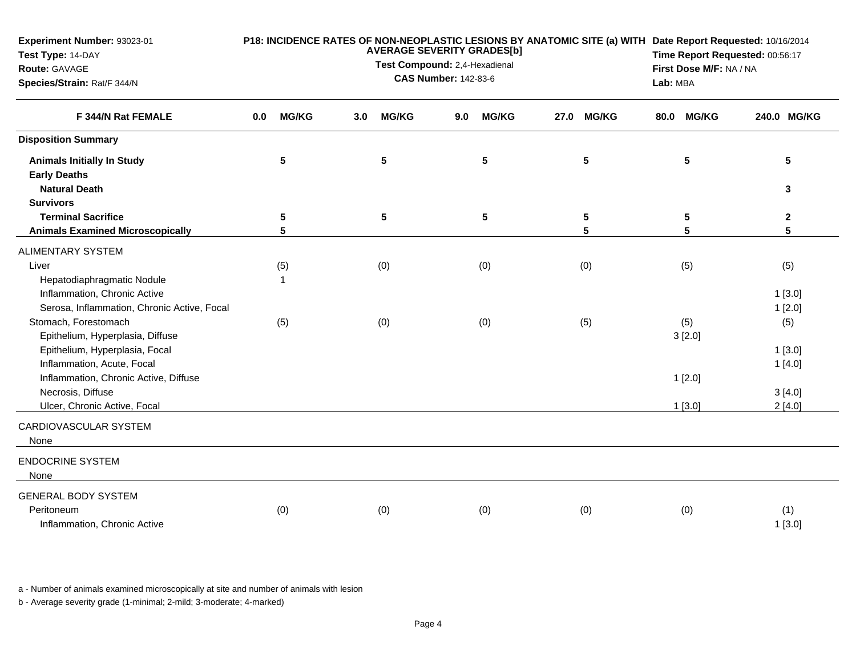| Experiment Number: 93023-01<br>Test Type: 14-DAY<br>Route: GAVAGE<br>Species/Strain: Rat/F 344/N |     | P18: INCIDENCE RATES OF NON-NEOPLASTIC LESIONS BY ANATOMIC SITE (a) WITH Date Report Requested: 10/16/2014<br><b>AVERAGE SEVERITY GRADES[b]</b><br>Test Compound: 2,4-Hexadienal<br><b>CAS Number: 142-83-6</b> |     |              |     |                 |  |                 |      |              | Time Report Requested: 00:56:17<br>First Dose M/F: NA / NA<br>Lab: MBA |  |  |
|--------------------------------------------------------------------------------------------------|-----|-----------------------------------------------------------------------------------------------------------------------------------------------------------------------------------------------------------------|-----|--------------|-----|-----------------|--|-----------------|------|--------------|------------------------------------------------------------------------|--|--|
| F 344/N Rat FEMALE                                                                               | 0.0 | <b>MG/KG</b>                                                                                                                                                                                                    | 3.0 | <b>MG/KG</b> | 9.0 | <b>MG/KG</b>    |  | 27.0 MG/KG      | 80.0 | <b>MG/KG</b> | 240.0 MG/KG                                                            |  |  |
| <b>Disposition Summary</b>                                                                       |     |                                                                                                                                                                                                                 |     |              |     |                 |  |                 |      |              |                                                                        |  |  |
| <b>Animals Initially In Study</b><br><b>Early Deaths</b>                                         |     | 5                                                                                                                                                                                                               |     | 5            |     | $5\phantom{.0}$ |  | 5               |      | 5            | 5                                                                      |  |  |
| <b>Natural Death</b><br><b>Survivors</b>                                                         |     |                                                                                                                                                                                                                 |     |              |     |                 |  |                 |      |              | 3                                                                      |  |  |
| <b>Terminal Sacrifice</b>                                                                        |     | 5                                                                                                                                                                                                               |     | $\sqrt{5}$   |     | $5\phantom{.0}$ |  | $5\phantom{.0}$ |      | 5            | $\mathbf{2}$                                                           |  |  |
| <b>Animals Examined Microscopically</b>                                                          |     | 5                                                                                                                                                                                                               |     |              |     |                 |  | 5               |      | 5            | 5                                                                      |  |  |
| <b>ALIMENTARY SYSTEM</b>                                                                         |     |                                                                                                                                                                                                                 |     |              |     |                 |  |                 |      |              |                                                                        |  |  |
| Liver                                                                                            |     | (5)                                                                                                                                                                                                             |     | (0)          |     | (0)             |  | (0)             |      | (5)          | (5)                                                                    |  |  |
| Hepatodiaphragmatic Nodule                                                                       |     | 1                                                                                                                                                                                                               |     |              |     |                 |  |                 |      |              |                                                                        |  |  |
| Inflammation, Chronic Active                                                                     |     |                                                                                                                                                                                                                 |     |              |     |                 |  |                 |      |              | 1[3.0]                                                                 |  |  |
| Serosa, Inflammation, Chronic Active, Focal                                                      |     |                                                                                                                                                                                                                 |     |              |     |                 |  |                 |      |              | 1[2.0]                                                                 |  |  |
| Stomach, Forestomach                                                                             |     | (5)                                                                                                                                                                                                             |     | (0)          |     | (0)             |  | (5)             |      | (5)          | (5)                                                                    |  |  |
| Epithelium, Hyperplasia, Diffuse                                                                 |     |                                                                                                                                                                                                                 |     |              |     |                 |  |                 |      | 3[2.0]       |                                                                        |  |  |
| Epithelium, Hyperplasia, Focal                                                                   |     |                                                                                                                                                                                                                 |     |              |     |                 |  |                 |      |              | 1[3.0]                                                                 |  |  |
| Inflammation, Acute, Focal                                                                       |     |                                                                                                                                                                                                                 |     |              |     |                 |  |                 |      |              | 1[4.0]                                                                 |  |  |
| Inflammation, Chronic Active, Diffuse                                                            |     |                                                                                                                                                                                                                 |     |              |     |                 |  |                 |      | 1[2.0]       |                                                                        |  |  |
| Necrosis, Diffuse                                                                                |     |                                                                                                                                                                                                                 |     |              |     |                 |  |                 |      |              | 3[4.0]                                                                 |  |  |
| Ulcer, Chronic Active, Focal                                                                     |     |                                                                                                                                                                                                                 |     |              |     |                 |  |                 |      | $1$ [3.0]    | 2[4.0]                                                                 |  |  |
| CARDIOVASCULAR SYSTEM<br>None                                                                    |     |                                                                                                                                                                                                                 |     |              |     |                 |  |                 |      |              |                                                                        |  |  |
| <b>ENDOCRINE SYSTEM</b><br>None                                                                  |     |                                                                                                                                                                                                                 |     |              |     |                 |  |                 |      |              |                                                                        |  |  |
| <b>GENERAL BODY SYSTEM</b>                                                                       |     |                                                                                                                                                                                                                 |     |              |     |                 |  |                 |      |              |                                                                        |  |  |
| Peritoneum                                                                                       |     | (0)                                                                                                                                                                                                             |     | (0)          |     | (0)             |  | (0)             |      | (0)          | (1)                                                                    |  |  |
| Inflammation, Chronic Active                                                                     |     |                                                                                                                                                                                                                 |     |              |     |                 |  |                 |      |              | 1[3.0]                                                                 |  |  |

a - Number of animals examined microscopically at site and number of animals with lesion